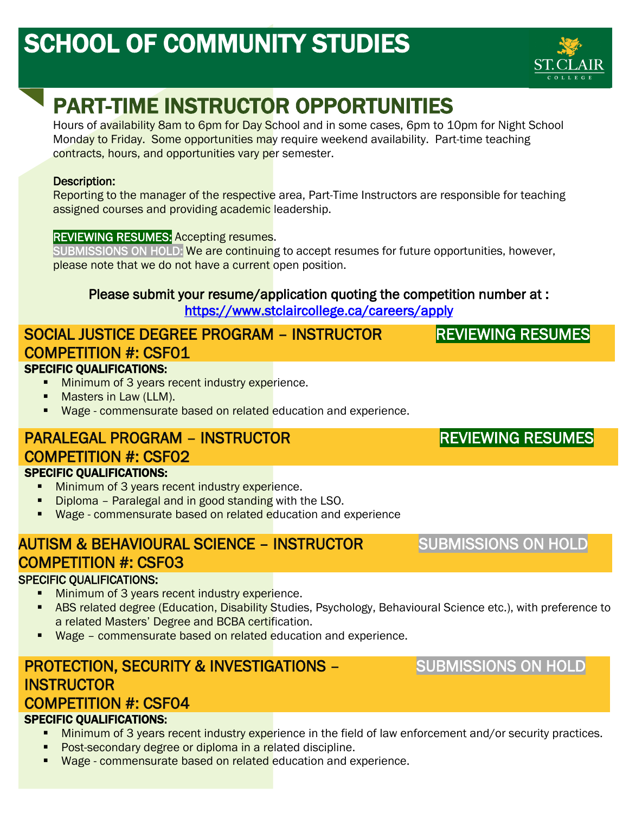# SCHOOL OF COMMUNITY STUDIES



# PART-TIME INSTRUCTOR OPPORTUNITIES

Hours of availability 8am to 6pm for Day School and in some cases, 6pm to 10pm for Night School Monday to Friday. Some opportunities may require weekend availability. Part-time teaching contracts, hours, and opportunities vary per semester.

#### Description:

Reporting to the manager of the respective area, Part-Time Instructors are responsible for teaching assigned courses and providing academic leadership.

#### REVIEWING RESUMES: Accepting resumes.

SUBMISSIONS ON HOLD: We are continuing to accept resumes for future opportunities, however, please note that we do not have a current open position.

#### Please submit your resume/application quoting the competition number at : <https://www.stclaircollege.ca/careers/apply>

#### SOCIAL JUSTICE DEGREE PROGRAM – INSTRUCTOR COMPETITION #: CSF01 SPECIFIC QUALIFICATIONS: REVIEWING RESUMES

- **Minimum of 3 years recent industry experience.**
- **Masters in Law (LLM).**
- **Wage commensurate based on related education and experience.**

#### PARALEGAL PROGRAM – INSTRUCTOR COMPETITION #: CSF02 SPECIFIC QUALIFICATIONS:

- Minimum of 3 years recent industry experience.
- Diploma Paralegal and in good standing with the LSO.
- **Wage commensurate based on related education and experience**

### AUTISM & BEHAVIOURAL SCIENCE – INSTRUCTOR COMPETITION #: CSF03

#### SPECIFIC QUALIFICATIONS:

- Minimum of 3 years recent industry experience.
- ABS related degree (Education, Disability Studies, Psychology, Behavioural Science etc.), with preference to a related Masters' Degree and BCBA certification.
- Wage commensurate based on related education and experience.

#### PROTECTION, SECURITY & INVESTIGATIONS – **INSTRUCTOR** COMPETITION #: CSF04

#### SPECIFIC QUALIFICATIONS:

- Minimum of 3 years recent industry experience in the field of law enforcement and/or security practices.
- Post-secondary degree or diploma in a related discipline.
- **Wage commensurate based on related education and experience.**

## REVIEWING RESUMES

#### SUBMISSIONS ON HOLD

SUBMISSIONS ON HOLD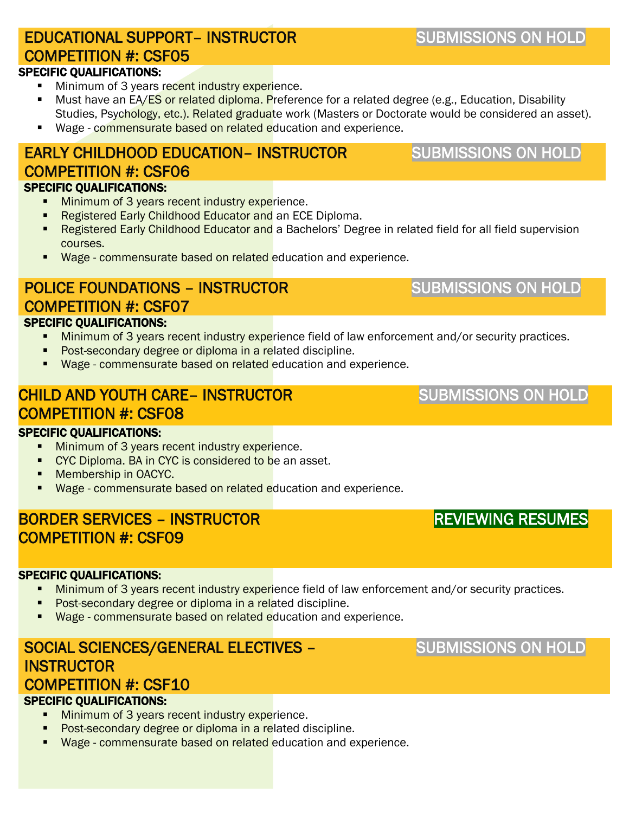#### EDUCATIONAL SUPPORT– INSTRUCTOR COMPETITION #: CSF05 SPECIFIC QUALIFICATIONS:

- Minimum of 3 years recent industry experience.
- Must have an EA/ES or related diploma. Preference for a related degree (e.g., Education, Disability Studies, Psychology, etc.). Related graduate work (Masters or Doctorate would be considered an asset).
- Wage commensurate based on related education and experience.

## EARLY CHILDHOOD EDUCATION– INSTRUCTOR COMPETITION #: CSF06

#### SPECIFIC QUALIFICATIONS:

- **Minimum of 3 years recent industry experience.**
- **Registered Early Childhood Educator and an ECE Diploma.**
- **Registered Early Childhood Educator and** a Bachelors' Degree in related field for all field supervision courses.
- **Wage commensurate based on related education and experience.**

## POLICE FOUNDATIONS – INSTRUCTOR COMPETITION #: CSF07

#### SPECIFIC QUALIFICATIONS:

- Minimum of 3 years recent industry experience field of law enforcement and/or security practices.
- Post-secondary degree or diploma in a related discipline.
- **Wage commensurate based on related education and experience.**

## CHILD AND YOUTH CARE– INSTRUCTOR COMPETITION #: CSF08

#### SPECIFIC QUALIFICATIONS:

- Minimum of 3 years recent industry experience.
- **CYC Diploma. BA in CYC is considered to be an asset.**
- **Membership in OACYC.**
- Wage commensurate based on related education and experience.

### BORDER SERVICES – INSTRUCTOR COMPETITION #: CSF09

#### SPECIFIC QUALIFICATIONS:

- **Minimum of 3 years recent industry experience field of law enforcement and/or security practices.**
- **Post-secondary degree or diploma in a related discipline.**
- Wage commensurate based on related education and experience.

#### SOCIAL SCIENCES/GENERAL ELECTIVES – **INSTRUCTOR** COMPETITION #: CSF10

#### SPECIFIC QUALIFICATIONS:

- **Minimum of 3 years recent industry experience.**
- **Post-secondary degree or diploma in a related discipline.**
- Wage commensurate based on related education and experience.

## SUBMISSIONS ON HOLD

SUBMISSIONS ON HOLD

## SUBMISSIONS ON HOLD

REVIEWING RESUMES

## SUBMISSIONS ON HOLD

SUBMISSIONS ON HOLD